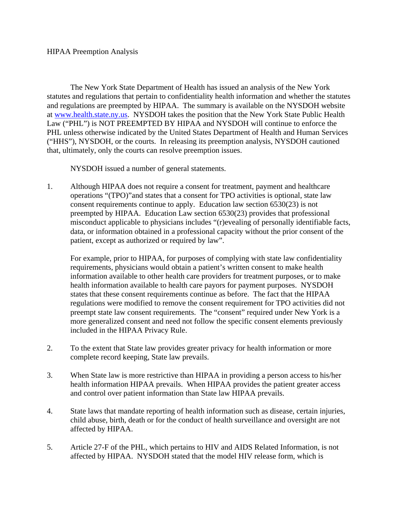The New York State Department of Health has issued an analysis of the New York statutes and regulations that pertain to confidentiality health information and whether the statutes and regulations are preempted by HIPAA. The summary is available on the NYSDOH website at www.health.state.ny.us. NYSDOH takes the position that the New York State Public Health Law ("PHL") is NOT PREEMPTED BY HIPAA and NYSDOH will continue to enforce the PHL unless otherwise indicated by the United States Department of Health and Human Services ("HHS"), NYSDOH, or the courts. In releasing its preemption analysis, NYSDOH cautioned that, ultimately, only the courts can resolve preemption issues.

NYSDOH issued a number of general statements.

1. Although HIPAA does not require a consent for treatment, payment and healthcare operations "(TPO)"and states that a consent for TPO activities is optional, state law consent requirements continue to apply. Education law section 6530(23) is not preempted by HIPAA. Education Law section 6530(23) provides that professional misconduct applicable to physicians includes "(r)evealing of personally identifiable facts, data, or information obtained in a professional capacity without the prior consent of the patient, except as authorized or required by law".

For example, prior to HIPAA, for purposes of complying with state law confidentiality requirements, physicians would obtain a patient's written consent to make health information available to other health care providers for treatment purposes, or to make health information available to health care payors for payment purposes. NYSDOH states that these consent requirements continue as before. The fact that the HIPAA regulations were modified to remove the consent requirement for TPO activities did not preempt state law consent requirements. The "consent" required under New York is a more generalized consent and need not follow the specific consent elements previously included in the HIPAA Privacy Rule.

- 2. To the extent that State law provides greater privacy for health information or more complete record keeping, State law prevails.
- 3. When State law is more restrictive than HIPAA in providing a person access to his/her health information HIPAA prevails. When HIPAA provides the patient greater access and control over patient information than State law HIPAA prevails.
- 4. State laws that mandate reporting of health information such as disease, certain injuries, child abuse, birth, death or for the conduct of health surveillance and oversight are not affected by HIPAA.
- 5. Article 27-F of the PHL, which pertains to HIV and AIDS Related Information, is not affected by HIPAA. NYSDOH stated that the model HIV release form, which is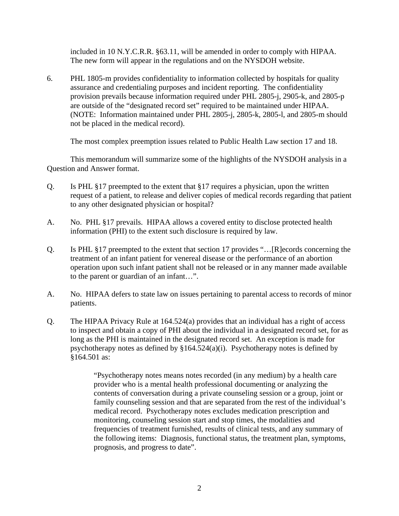included in 10 N.Y.C.R.R. §63.11, will be amended in order to comply with HIPAA. The new form will appear in the regulations and on the NYSDOH website.

6. PHL 1805-m provides confidentiality to information collected by hospitals for quality assurance and credentialing purposes and incident reporting. The confidentiality provision prevails because information required under PHL 2805-j, 2905-k, and 2805-p are outside of the "designated record set" required to be maintained under HIPAA. (NOTE: Information maintained under PHL 2805-j, 2805-k, 2805-l, and 2805-m should not be placed in the medical record).

The most complex preemption issues related to Public Health Law section 17 and 18.

This memorandum will summarize some of the highlights of the NYSDOH analysis in a Question and Answer format.

- Q. Is PHL §17 preempted to the extent that §17 requires a physician, upon the written request of a patient, to release and deliver copies of medical records regarding that patient to any other designated physician or hospital?
- A. No. PHL §17 prevails. HIPAA allows a covered entity to disclose protected health information (PHI) to the extent such disclosure is required by law.
- Q. Is PHL §17 preempted to the extent that section 17 provides "…[R]ecords concerning the treatment of an infant patient for venereal disease or the performance of an abortion operation upon such infant patient shall not be released or in any manner made available to the parent or guardian of an infant…".
- A. No. HIPAA defers to state law on issues pertaining to parental access to records of minor patients.
- Q. The HIPAA Privacy Rule at 164.524(a) provides that an individual has a right of access to inspect and obtain a copy of PHI about the individual in a designated record set, for as long as the PHI is maintained in the designated record set. An exception is made for psychotherapy notes as defined by  $§164.524(a)(i)$ . Psychotherapy notes is defined by §164.501 as:

 "Psychotherapy notes means notes recorded (in any medium) by a health care provider who is a mental health professional documenting or analyzing the contents of conversation during a private counseling session or a group, joint or family counseling session and that are separated from the rest of the individual's medical record. Psychotherapy notes excludes medication prescription and monitoring, counseling session start and stop times, the modalities and frequencies of treatment furnished, results of clinical tests, and any summary of the following items: Diagnosis, functional status, the treatment plan, symptoms, prognosis, and progress to date".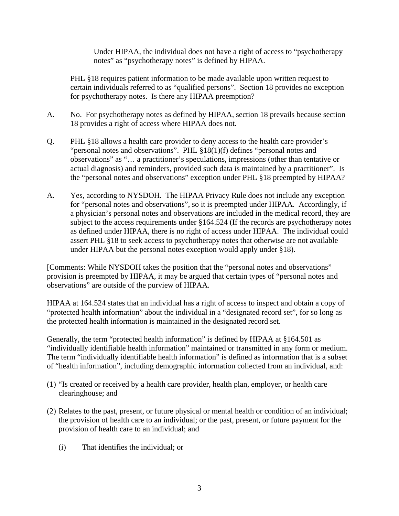Under HIPAA, the individual does not have a right of access to "psychotherapy notes" as "psychotherapy notes" is defined by HIPAA.

 PHL §18 requires patient information to be made available upon written request to certain individuals referred to as "qualified persons". Section 18 provides no exception for psychotherapy notes. Is there any HIPAA preemption?

- A. No. For psychotherapy notes as defined by HIPAA, section 18 prevails because section 18 provides a right of access where HIPAA does not.
- Q. PHL §18 allows a health care provider to deny access to the health care provider's "personal notes and observations". PHL §18(1)(f) defines "personal notes and observations" as "… a practitioner's speculations, impressions (other than tentative or actual diagnosis) and reminders, provided such data is maintained by a practitioner". Is the "personal notes and observations" exception under PHL §18 preempted by HIPAA?
- A. Yes, according to NYSDOH. The HIPAA Privacy Rule does not include any exception for "personal notes and observations", so it is preempted under HIPAA. Accordingly, if a physician's personal notes and observations are included in the medical record, they are subject to the access requirements under §164.524 (If the records are psychotherapy notes as defined under HIPAA, there is no right of access under HIPAA. The individual could assert PHL §18 to seek access to psychotherapy notes that otherwise are not available under HIPAA but the personal notes exception would apply under §18).

[Comments: While NYSDOH takes the position that the "personal notes and observations" provision is preempted by HIPAA, it may be argued that certain types of "personal notes and observations" are outside of the purview of HIPAA.

HIPAA at 164.524 states that an individual has a right of access to inspect and obtain a copy of "protected health information" about the individual in a "designated record set", for so long as the protected health information is maintained in the designated record set.

Generally, the term "protected health information" is defined by HIPAA at §164.501 as "individually identifiable health information" maintained or transmitted in any form or medium. The term "individually identifiable health information" is defined as information that is a subset of "health information", including demographic information collected from an individual, and:

- (1) "Is created or received by a health care provider, health plan, employer, or health care clearinghouse; and
- (2) Relates to the past, present, or future physical or mental health or condition of an individual; the provision of health care to an individual; or the past, present, or future payment for the provision of health care to an individual; and
	- (i) That identifies the individual; or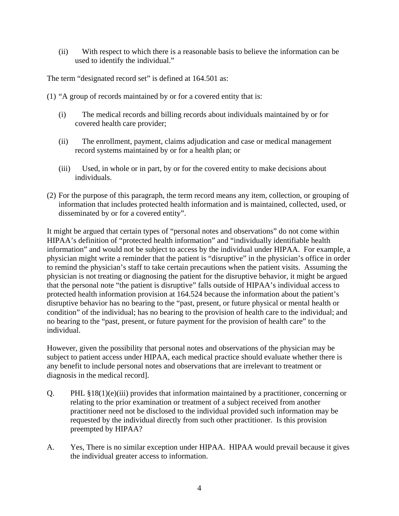(ii) With respect to which there is a reasonable basis to believe the information can be used to identify the individual."

The term "designated record set" is defined at 164.501 as:

- (1) "A group of records maintained by or for a covered entity that is:
	- (i) The medical records and billing records about individuals maintained by or for covered health care provider;
	- (ii) The enrollment, payment, claims adjudication and case or medical management record systems maintained by or for a health plan; or
	- (iii) Used, in whole or in part, by or for the covered entity to make decisions about individuals.
- (2) For the purpose of this paragraph, the term record means any item, collection, or grouping of information that includes protected health information and is maintained, collected, used, or disseminated by or for a covered entity".

It might be argued that certain types of "personal notes and observations" do not come within HIPAA's definition of "protected health information" and "individually identifiable health information" and would not be subject to access by the individual under HIPAA. For example, a physician might write a reminder that the patient is "disruptive" in the physician's office in order to remind the physician's staff to take certain precautions when the patient visits. Assuming the physician is not treating or diagnosing the patient for the disruptive behavior, it might be argued that the personal note "the patient is disruptive" falls outside of HIPAA's individual access to protected health information provision at 164.524 because the information about the patient's disruptive behavior has no bearing to the "past, present, or future physical or mental health or condition" of the individual; has no bearing to the provision of health care to the individual; and no bearing to the "past, present, or future payment for the provision of health care" to the individual.

However, given the possibility that personal notes and observations of the physician may be subject to patient access under HIPAA, each medical practice should evaluate whether there is any benefit to include personal notes and observations that are irrelevant to treatment or diagnosis in the medical record].

- Q. PHL §18(1)(e)(iii) provides that information maintained by a practitioner, concerning or relating to the prior examination or treatment of a subject received from another practitioner need not be disclosed to the individual provided such information may be requested by the individual directly from such other practitioner. Is this provision preempted by HIPAA?
- A. Yes, There is no similar exception under HIPAA. HIPAA would prevail because it gives the individual greater access to information.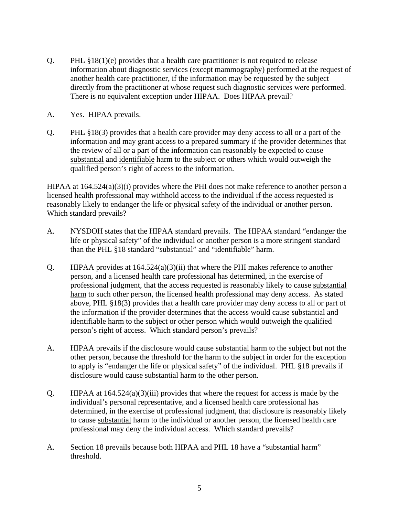- Q. PHL §18(1)(e) provides that a health care practitioner is not required to release information about diagnostic services (except mammography) performed at the request of another health care practitioner, if the information may be requested by the subject directly from the practitioner at whose request such diagnostic services were performed. There is no equivalent exception under HIPAA. Does HIPAA prevail?
- A. Yes. HIPAA prevails.
- Q. PHL §18(3) provides that a health care provider may deny access to all or a part of the information and may grant access to a prepared summary if the provider determines that the review of all or a part of the information can reasonably be expected to cause substantial and identifiable harm to the subject or others which would outweigh the qualified person's right of access to the information.

HIPAA at  $164.524(a)(3)(i)$  provides where the PHI does not make reference to another person a licensed health professional may withhold access to the individual if the access requested is reasonably likely to endanger the life or physical safety of the individual or another person. Which standard prevails?

- A. NYSDOH states that the HIPAA standard prevails. The HIPAA standard "endanger the life or physical safety" of the individual or another person is a more stringent standard than the PHL §18 standard "substantial" and "identifiable" harm.
- Q. HIPAA provides at 164.524(a)(3)(ii) that where the PHI makes reference to another person, and a licensed health care professional has determined, in the exercise of professional judgment, that the access requested is reasonably likely to cause substantial harm to such other person, the licensed health professional may deny access. As stated above, PHL §18(3) provides that a health care provider may deny access to all or part of the information if the provider determines that the access would cause substantial and identifiable harm to the subject or other person which would outweigh the qualified person's right of access. Which standard person's prevails?
- A. HIPAA prevails if the disclosure would cause substantial harm to the subject but not the other person, because the threshold for the harm to the subject in order for the exception to apply is "endanger the life or physical safety" of the individual. PHL §18 prevails if disclosure would cause substantial harm to the other person.
- Q. HIPAA at 164.524(a)(3)(iii) provides that where the request for access is made by the individual's personal representative, and a licensed health care professional has determined, in the exercise of professional judgment, that disclosure is reasonably likely to cause substantial harm to the individual or another person, the licensed health care professional may deny the individual access. Which standard prevails?
- A. Section 18 prevails because both HIPAA and PHL 18 have a "substantial harm" threshold.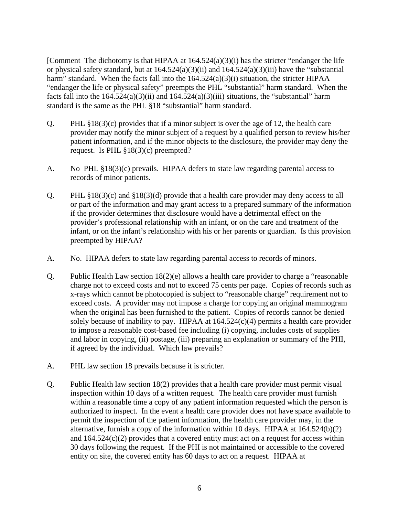[Comment The dichotomy is that HIPAA at 164.524(a)(3)(i) has the stricter "endanger the life or physical safety standard, but at  $164.524(a)(3)(ii)$  and  $164.524(a)(3)(iii)$  have the "substantial" harm" standard. When the facts fall into the 164.524(a)(3)(i) situation, the stricter HIPAA "endanger the life or physical safety" preempts the PHL "substantial" harm standard. When the facts fall into the  $164.524(a)(3)(ii)$  and  $164.524(a)(3)(iii)$  situations, the "substantial" harm standard is the same as the PHL §18 "substantial" harm standard.

- Q. PHL  $\S 18(3)(c)$  provides that if a minor subject is over the age of 12, the health care provider may notify the minor subject of a request by a qualified person to review his/her patient information, and if the minor objects to the disclosure, the provider may deny the request. Is PHL §18(3)(c) preempted?
- A. No PHL §18(3)(c) prevails. HIPAA defers to state law regarding parental access to records of minor patients.
- Q. PHL §18(3)(c) and §18(3)(d) provide that a health care provider may deny access to all or part of the information and may grant access to a prepared summary of the information if the provider determines that disclosure would have a detrimental effect on the provider's professional relationship with an infant, or on the care and treatment of the infant, or on the infant's relationship with his or her parents or guardian. Is this provision preempted by HIPAA?
- A. No. HIPAA defers to state law regarding parental access to records of minors.
- Q. Public Health Law section 18(2)(e) allows a health care provider to charge a "reasonable charge not to exceed costs and not to exceed 75 cents per page. Copies of records such as x-rays which cannot be photocopied is subject to "reasonable charge" requirement not to exceed costs. A provider may not impose a charge for copying an original mammogram when the original has been furnished to the patient. Copies of records cannot be denied solely because of inability to pay. HIPAA at  $164.524(c)(4)$  permits a health care provider to impose a reasonable cost-based fee including (i) copying, includes costs of supplies and labor in copying, (ii) postage, (iii) preparing an explanation or summary of the PHI, if agreed by the individual. Which law prevails?
- A. PHL law section 18 prevails because it is stricter.
- Q. Public Health law section 18(2) provides that a health care provider must permit visual inspection within 10 days of a written request. The health care provider must furnish within a reasonable time a copy of any patient information requested which the person is authorized to inspect. In the event a health care provider does not have space available to permit the inspection of the patient information, the health care provider may, in the alternative, furnish a copy of the information within 10 days. HIPAA at 164.524(b)(2) and  $164.524(c)(2)$  provides that a covered entity must act on a request for access within 30 days following the request. If the PHI is not maintained or accessible to the covered entity on site, the covered entity has 60 days to act on a request. HIPAA at